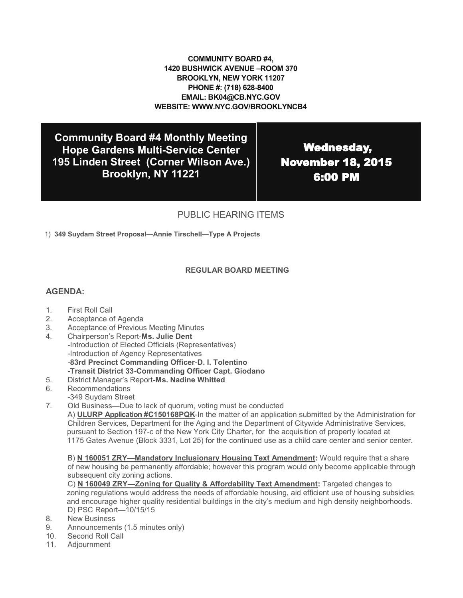### **COMMUNITY BOARD #4, 1420 BUSHWICK AVENUE –ROOM 370 BROOKLYN, NEW YORK 11207 PHONE #: (718) 628-8400 EMAIL: BK04@CB.NYC.GOV WEBSITE: WWW.NYC.GOV/BROOKLYNCB4**

**Community Board #4 Monthly Meeting Hope Gardens Multi-Service Center 195 Linden Street (Corner Wilson Ave.) Brooklyn, NY 11221**

 Wednesday, November 18, 2015 6:00 PM

# PUBLIC HEARING ITEMS

1) **349 Suydam Street Proposal—Annie Tirschell—Type A Projects**

### **REGULAR BOARD MEETING**

### **AGENDA:**

- 1. First Roll Call
- 2. Acceptance of Agenda
- 3. Acceptance of Previous Meeting Minutes
- 4. Chairperson's Report-**Ms. Julie Dent** -Introduction of Elected Officials (Representatives) -Introduction of Agency Representatives -**83rd Precinct Commanding Officer**-**D. I. Tolentino -Transit District 33-Commanding Officer Capt. Giodano**
- 5. District Manager's Report-**Ms. Nadine Whitted**
- 6. Recommendations
- -349 Suydam Street
- 7. Old Business—Due to lack of quorum, voting must be conducted

A) **ULURP Application #C150168PQK**-In the matter of an application submitted by the Administration for Children Services, Department for the Aging and the Department of Citywide Administrative Services, pursuant to Section 197-c of the New York City Charter, for the acquisition of property located at 1175 Gates Avenue (Block 3331, Lot 25) for the continued use as a child care center and senior center.

B) **N 160051 ZRY—Mandatory Inclusionary Housing Text Amendment:** Would require that a share of new housing be permanently affordable; however this program would only become applicable through subsequent city zoning actions.

C) **N 160049 ZRY—Zoning for Quality & Affordability Text Amendment:** Targeted changes to zoning regulations would address the needs of affordable housing, aid efficient use of housing subsidies and encourage higher quality residential buildings in the city's medium and high density neighborhoods. D) PSC Report—10/15/15

- 8. New Business
- 9. Announcements (1.5 minutes only)
- 10. Second Roll Call
- 11. Adjournment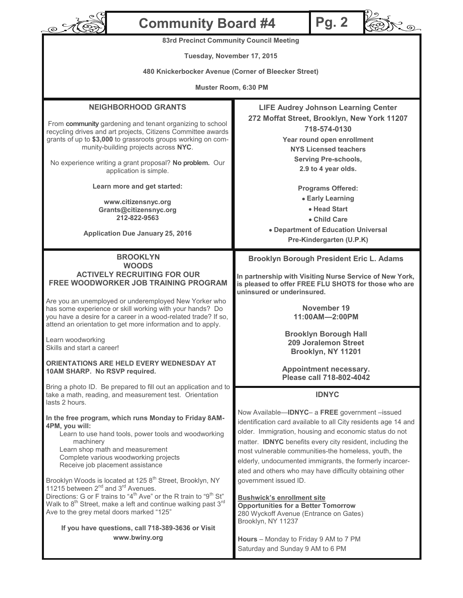| <b>Community Board #4</b><br>$\overline{\mathcal{O}}$                                                                                                                                                                                                                                                                                                                                                                                                                                                                                               | <b>Pg. 2</b>                                                                                                                                                                                                                                                                                                                                                                                                                                                          |
|-----------------------------------------------------------------------------------------------------------------------------------------------------------------------------------------------------------------------------------------------------------------------------------------------------------------------------------------------------------------------------------------------------------------------------------------------------------------------------------------------------------------------------------------------------|-----------------------------------------------------------------------------------------------------------------------------------------------------------------------------------------------------------------------------------------------------------------------------------------------------------------------------------------------------------------------------------------------------------------------------------------------------------------------|
| <b>83rd Precinct Community Council Meeting</b>                                                                                                                                                                                                                                                                                                                                                                                                                                                                                                      |                                                                                                                                                                                                                                                                                                                                                                                                                                                                       |
| Tuesday, November 17, 2015                                                                                                                                                                                                                                                                                                                                                                                                                                                                                                                          |                                                                                                                                                                                                                                                                                                                                                                                                                                                                       |
| 480 Knickerbocker Avenue (Corner of Bleecker Street)                                                                                                                                                                                                                                                                                                                                                                                                                                                                                                |                                                                                                                                                                                                                                                                                                                                                                                                                                                                       |
| Muster Room, 6:30 PM                                                                                                                                                                                                                                                                                                                                                                                                                                                                                                                                |                                                                                                                                                                                                                                                                                                                                                                                                                                                                       |
| <b>NEIGHBORHOOD GRANTS</b><br>From community gardening and tenant organizing to school<br>recycling drives and art projects, Citizens Committee awards<br>grants of up to \$3,000 to grassroots groups working on com-<br>munity-building projects across NYC.<br>No experience writing a grant proposal? No problem. Our<br>application is simple.<br>Learn more and get started:<br>www.citizensnyc.org<br>Grants@citizensnyc.org<br>212-822-9563<br><b>Application Due January 25, 2016</b>                                                      | <b>LIFE Audrey Johnson Learning Center</b><br>272 Moffat Street, Brooklyn, New York 11207<br>718-574-0130<br>Year round open enrollment<br><b>NYS Licensed teachers</b><br><b>Serving Pre-schools,</b><br>2.9 to 4 year olds.<br><b>Programs Offered:</b><br>• Early Learning<br>• Head Start<br>• Child Care<br>• Department of Education Universal<br>Pre-Kindergarten (U.P.K)                                                                                      |
| <b>BROOKLYN</b><br><b>WOODS</b><br><b>ACTIVELY RECRUITING FOR OUR</b><br><b>FREE WOODWORKER JOB TRAINING PROGRAM</b><br>Are you an unemployed or underemployed New Yorker who<br>has some experience or skill working with your hands? Do<br>you have a desire for a career in a wood-related trade? If so,<br>attend an orientation to get more information and to apply.<br>Learn woodworking<br>Skills and start a career!<br>ORIENTATIONS ARE HELD EVERY WEDNESDAY AT<br>10AM SHARP. No RSVP required.                                          | <b>Brooklyn Borough President Eric L. Adams</b><br>In partnership with Visiting Nurse Service of New York,<br>is pleased to offer FREE FLU SHOTS for those who are<br>uninsured or underinsured.<br>November 19<br>11:00AM-2:00PM<br><b>Brooklyn Borough Hall</b><br><b>209 Joralemon Street</b><br>Brooklyn, NY 11201<br>Appointment necessary.<br>Please call 718-802-4042                                                                                          |
| Bring a photo ID. Be prepared to fill out an application and to<br>take a math, reading, and measurement test. Orientation<br>lasts 2 hours.<br>In the free program, which runs Monday to Friday 8AM-<br>4PM, you will:<br>Learn to use hand tools, power tools and woodworking<br>machinery<br>Learn shop math and measurement<br>Complete various woodworking projects<br>Receive job placement assistance<br>Brooklyn Woods is located at 125 8 <sup>th</sup> Street, Brooklyn, NY<br>11215 between 2 <sup>nd</sup> and 3 <sup>rd</sup> Avenues. | <b>IDNYC</b><br>Now Available-IDNYC- a FREE government-issued<br>identification card available to all City residents age 14 and<br>older. Immigration, housing and economic status do not<br>matter. <b>IDNYC</b> benefits every city resident, including the<br>most vulnerable communities-the homeless, youth, the<br>elderly, undocumented immigrants, the formerly incarcer-<br>ated and others who may have difficulty obtaining other<br>government issued ID. |
| Directions: G or F trains to "4 <sup>th</sup> Ave" or the R train to "9 <sup>th</sup> St"<br>Walk to 8 <sup>th</sup> Street, make a left and continue walking past 3 <sup>rd</sup><br>Ave to the grey metal doors marked "125"<br>If you have questions, call 718-389-3636 or Visit<br>www.bwiny.org                                                                                                                                                                                                                                                | <b>Bushwick's enrollment site</b><br><b>Opportunities for a Better Tomorrow</b><br>280 Wyckoff Avenue (Entrance on Gates)<br>Brooklyn, NY 11237<br>Hours - Monday to Friday 9 AM to 7 PM<br>Saturday and Sunday 9 AM to 6 PM                                                                                                                                                                                                                                          |